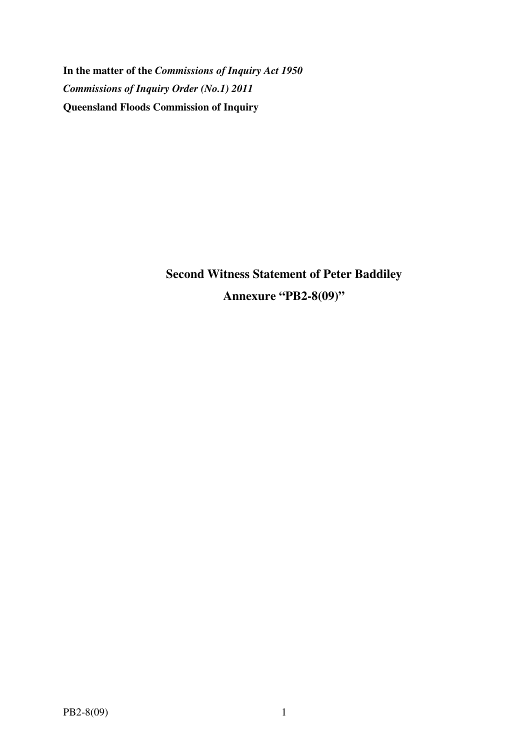**In the matter of the** *Commissions of Inquiry Act 1950 Commissions of Inquiry Order (No.1) 2011* **Queensland Floods Commission of Inquiry** 

> **Second Witness Statement of Peter Baddiley Annexure "PB2-8(09)"**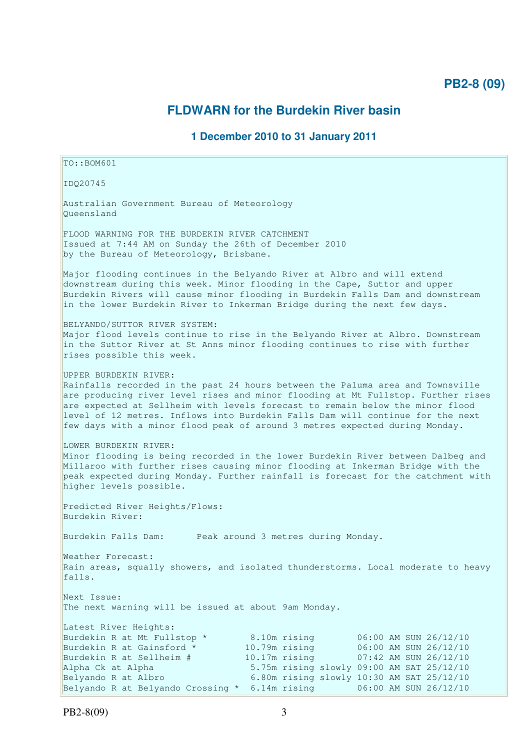# **PB2-8 (09)**

# **FLDWARN for the Burdekin River basin**

## **1 December 2010 to 31 January 2011**

 $TO: **ROM601**$ IDQ20745 Australian Government Bureau of Meteorology Queensland FLOOD WARNING FOR THE BURDEKIN RIVER CATCHMENT Issued at 7:44 AM on Sunday the 26th of December 2010 by the Bureau of Meteorology, Brisbane. Major flooding continues in the Belyando River at Albro and will extend downstream during this week. Minor flooding in the Cape, Suttor and upper Burdekin Rivers will cause minor flooding in Burdekin Falls Dam and downstream in the lower Burdekin River to Inkerman Bridge during the next few days. BELYANDO/SUTTOR RIVER SYSTEM: Major flood levels continue to rise in the Belyando River at Albro. Downstream in the Suttor River at St Anns minor flooding continues to rise with further rises possible this week. UPPER BURDEKIN RIVER: Rainfalls recorded in the past 24 hours between the Paluma area and Townsville are producing river level rises and minor flooding at Mt Fullstop. Further rises are expected at Sellheim with levels forecast to remain below the minor flood level of 12 metres. Inflows into Burdekin Falls Dam will continue for the next few days with a minor flood peak of around 3 metres expected during Monday. LOWER BURDEKIN RIVER: Minor flooding is being recorded in the lower Burdekin River between Dalbeg and Millaroo with further rises causing minor flooding at Inkerman Bridge with the peak expected during Monday. Further rainfall is forecast for the catchment with higher levels possible. Predicted River Heights/Flows: Burdekin River: Burdekin Falls Dam: Peak around 3 metres during Monday. Weather Forecast: Rain areas, squally showers, and isolated thunderstorms. Local moderate to heavy falls. Next Issue: The next warning will be issued at about 9am Monday. Latest River Heights: Burdekin R at Mt Fullstop \* 8.10m rising 06:00 AM SUN 26/12/10 Burdekin R at Gainsford \* 10.79m rising 06:00 AM SUN 26/12/10 Burdekin R at Sellheim # 10.17m rising 07:42 AM SUN 26/12/10 Alpha Ck at Alpha 5.75m rising slowly 09:00 AM SAT 25/12/10 Belyando R at Albro 6.80m rising slowly 10:30 AM SAT 25/12/10

Belyando R at Belyando Crossing \* 6.14m rising 06:00 AM SUN 26/12/10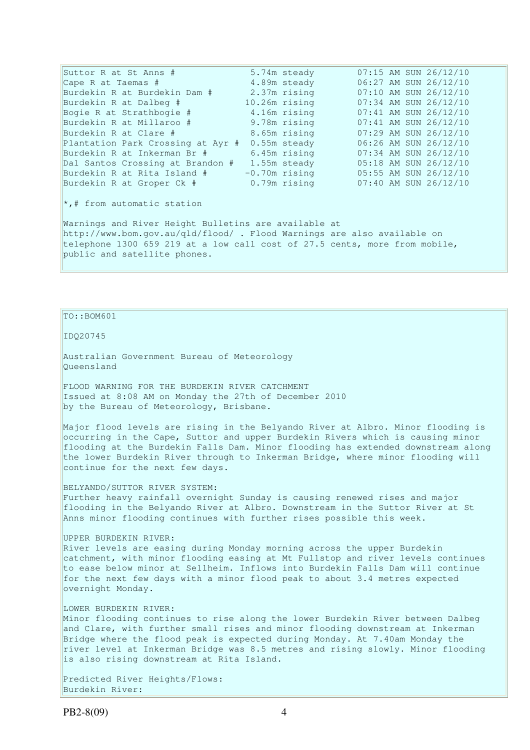Suttor R at St Anns # 5.74m steady 07:15 AM SUN 26/12/10<br>
Cape R at Taemas # 4.89m steady 06:27 AM SUN 26/12/10 Cape R at Taemas # 4.89m steady 06:27 AM SUN 26/12/10 Burdekin R at Burdekin Dam # 2.37m rising 07:10 AM SUN 26/12/10 Burdekin R at Dalbeg # 10.26m rising 07:34 AM SUN 26/12/10 Bogie R at Strathbogie # 4.16m rising 07:41 AM SUN 26/12/10 Burdekin R at Millaroo # 9.78m rising 07:41 AM SUN 26/12/10 Burdekin R at Clare # 8.65m rising 07:29 AM SUN 26/12/10 Plantation Park Crossing at Ayr # 0.55m steady 06:26 AM SUN 26/12/10 Burdekin R at Inkerman Br # 6.45m rising 07:34 AM SUN 26/12/10 Dal Santos Crossing at Brandon # 1.55m steady 05:18 AM SUN 26/12/10 Burdekin R at Rita Island # -0.70m rising 05:55 AM SUN 26/12/10 Burdekin R at Groper Ck # 0.79m rising 07:40 AM SUN 26/12/10 \*,# from automatic station Warnings and River Height Bulletins are available at http://www.bom.gov.au/qld/flood/ . Flood Warnings are also available on telephone 1300 659 219 at a low call cost of 27.5 cents, more from mobile, public and satellite phones.

## TO::BOM601

IDQ20745

Australian Government Bureau of Meteorology Queensland

FLOOD WARNING FOR THE BURDEKIN RIVER CATCHMENT Issued at 8:08 AM on Monday the 27th of December 2010 by the Bureau of Meteorology, Brisbane.

Major flood levels are rising in the Belyando River at Albro. Minor flooding is occurring in the Cape, Suttor and upper Burdekin Rivers which is causing minor flooding at the Burdekin Falls Dam. Minor flooding has extended downstream along the lower Burdekin River through to Inkerman Bridge, where minor flooding will continue for the next few days.

BELYANDO/SUTTOR RIVER SYSTEM: Further heavy rainfall overnight Sunday is causing renewed rises and major flooding in the Belyando River at Albro. Downstream in the Suttor River at St Anns minor flooding continues with further rises possible this week.

UPPER BURDEKIN RIVER: River levels are easing during Monday morning across the upper Burdekin catchment, with minor flooding easing at Mt Fullstop and river levels continues to ease below minor at Sellheim. Inflows into Burdekin Falls Dam will continue for the next few days with a minor flood peak to about 3.4 metres expected overnight Monday.

#### LOWER BURDEKIN RIVER:

Minor flooding continues to rise along the lower Burdekin River between Dalbeg and Clare, with further small rises and minor flooding downstream at Inkerman Bridge where the flood peak is expected during Monday. At 7.40am Monday the river level at Inkerman Bridge was 8.5 metres and rising slowly. Minor flooding is also rising downstream at Rita Island.

Predicted River Heights/Flows: Burdekin River: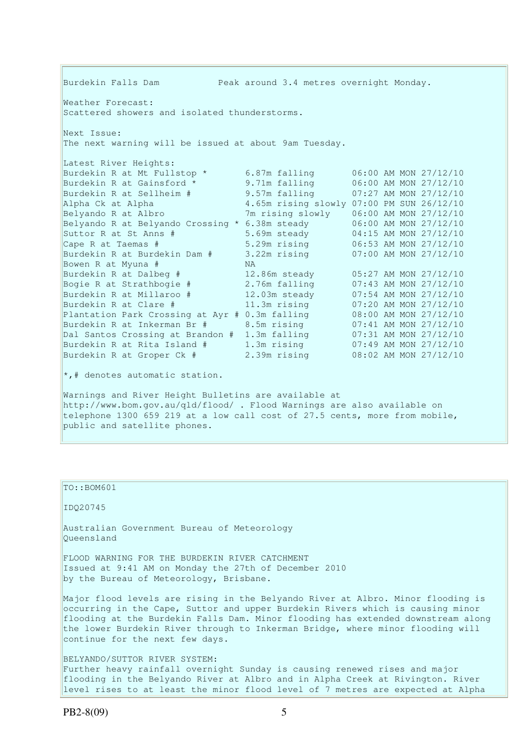| Burdekin Falls Dam<br>Peak around 3.4 metres overnight Monday.                                                                                                                                                                                |                                              |                                                                                             |  |  |  |
|-----------------------------------------------------------------------------------------------------------------------------------------------------------------------------------------------------------------------------------------------|----------------------------------------------|---------------------------------------------------------------------------------------------|--|--|--|
| Weather Forecast:<br>Scattered showers and isolated thunderstorms.                                                                                                                                                                            |                                              |                                                                                             |  |  |  |
| Next Issue:<br>The next warning will be issued at about 9am Tuesday.                                                                                                                                                                          |                                              |                                                                                             |  |  |  |
| Latest River Heights:<br>Burdekin R at Mt Fullstop *                                                                                                                                                                                          | 6.87m falling                                | 06:00 AM MON 27/12/10                                                                       |  |  |  |
| Burdekin R at Gainsford *<br>Burdekin R at Sellheim #<br>Alpha Ck at Alpha                                                                                                                                                                    | 9.71m falling<br>9.57m falling               | 06:00 AM MON 27/12/10<br>07:27 AM MON 27/12/10<br>4.65m rising slowly 07:00 PM SUN 26/12/10 |  |  |  |
| Belyando R at Albro<br>Belyando R at Belyando Crossing * 6.38m steady<br>Suttor R at St Anns #                                                                                                                                                | 7m rising slowly                             | 06:00 AM MON 27/12/10<br>06:00 AM MON 27/12/10                                              |  |  |  |
| Cape R at Taemas #<br>Burdekin R at Burdekin Dam #                                                                                                                                                                                            | 5.69m steady<br>5.29m rising<br>3.22m rising | 04:15 AM MON 27/12/10<br>06:53 AM MON 27/12/10<br>07:00 AM MON 27/12/10                     |  |  |  |
| Bowen R at Myuna #<br>Burdekin R at Dalbeg #<br>Bogie R at Strathbogie #                                                                                                                                                                      | NA.<br>12.86m steady<br>2.76m falling        | 05:27 AM MON 27/12/10<br>07:43 AM MON 27/12/10                                              |  |  |  |
| Burdekin R at Millaroo #<br>Burdekin R at Clare #                                                                                                                                                                                             | 12.03m steady<br>11.3m rising                | 07:54 AM MON 27/12/10<br>07:20 AM MON 27/12/10                                              |  |  |  |
| Plantation Park Crossing at Ayr # 0.3m falling<br>Burdekin R at Inkerman Br #<br>Dal Santos Crossing at Brandon #                                                                                                                             | 8.5m rising<br>1.3m falling                  | 08:00 AM MON 27/12/10<br>07:41 AM MON 27/12/10<br>07:31 AM MON 27/12/10                     |  |  |  |
| Burdekin R at Rita Island #<br>Burdekin R at Groper Ck #                                                                                                                                                                                      | 1.3m rising<br>2.39m rising                  | 07:49 AM MON 27/12/10<br>08:02 AM MON 27/12/10                                              |  |  |  |
| $\star$ ,# denotes automatic station.                                                                                                                                                                                                         |                                              |                                                                                             |  |  |  |
| Warnings and River Height Bulletins are available at<br>http://www.bom.gov.au/qld/flood/ . Flood Warnings are also available on<br>telephone 1300 659 219 at a low call cost of 27.5 cents, more from mobile,<br>public and satellite phones. |                                              |                                                                                             |  |  |  |

### $\vert$ TO::BOM601

IDQ20745

Australian Government Bureau of Meteorology Queensland

FLOOD WARNING FOR THE BURDEKIN RIVER CATCHMENT Issued at 9:41 AM on Monday the 27th of December 2010 by the Bureau of Meteorology, Brisbane.

Major flood levels are rising in the Belyando River at Albro. Minor flooding is occurring in the Cape, Suttor and upper Burdekin Rivers which is causing minor flooding at the Burdekin Falls Dam. Minor flooding has extended downstream along the lower Burdekin River through to Inkerman Bridge, where minor flooding will continue for the next few days.

BELYANDO/SUTTOR RIVER SYSTEM: Further heavy rainfall overnight Sunday is causing renewed rises and major flooding in the Belyando River at Albro and in Alpha Creek at Rivington. River level rises to at least the minor flood level of 7 metres are expected at Alpha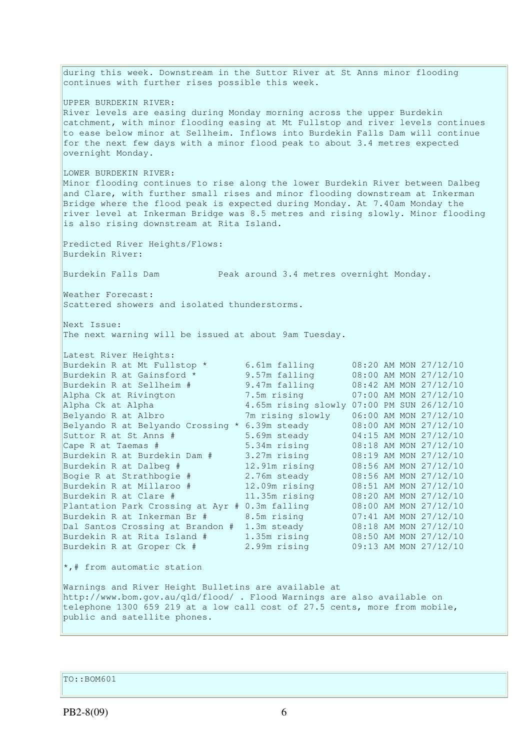during this week. Downstream in the Suttor River at St Anns minor flooding continues with further rises possible this week. UPPER BURDEKIN RIVER: River levels are easing during Monday morning across the upper Burdekin catchment, with minor flooding easing at Mt Fullstop and river levels continues to ease below minor at Sellheim. Inflows into Burdekin Falls Dam will continue for the next few days with a minor flood peak to about 3.4 metres expected overnight Monday. LOWER BURDEKIN RIVER: Minor flooding continues to rise along the lower Burdekin River between Dalbeg and Clare, with further small rises and minor flooding downstream at Inkerman Bridge where the flood peak is expected during Monday. At 7.40am Monday the river level at Inkerman Bridge was 8.5 metres and rising slowly. Minor flooding is also rising downstream at Rita Island. Predicted River Heights/Flows: Burdekin River: Burdekin Falls Dam Peak around 3.4 metres overnight Monday. Weather Forecast: Scattered showers and isolated thunderstorms. Next Issue: The next warning will be issued at about 9am Tuesday. Latest River Heights: Burdekin R at Mt Fullstop \* 6.61m falling 08:20 AM MON 27/12/10 Burdekin R at Gainsford \* 9.57m falling 08:00 AM MON 27/12/10 Burdekin R at Sellheim # 9.47m falling 08:42 AM MON 27/12/10 Alpha Ck at Rivington 7.5m rising 07:00 AM MON 27/12/10 Alpha Ck at Alpha 4.65m rising slowly 07:00 PM SUN 26/12/10<br>Belyando R at Albro 7m rising slowly 06:00 AM MON 27/12/10 Belyando R at Albro 7m rising slowly 06:00 AM MON 27/12/10 Belyando R at Belyando Crossing \* 6.39m steady 08:00 AM MON 27/12/10 Suttor R at St Anns # 5.69m steady 04:15 AM MON 27/12/10 Cape R at Taemas # 5.34m rising 08:18 AM MON 27/12/10 Burdekin R at Burdekin Dam # 3.27m rising 08:19 AM MON 27/12/10 Burdekin R at Dalbeg # 12.91m rising 08:56 AM MON 27/12/10 Bogie R at Strathbogie # 2.76m steady 08:56 AM MON 27/12/10 Burdekin R at Millaroo # 12.09m rising 08:51 AM MON 27/12/10 Burdekin R at Clare # 11.35m rising 08:20 AM MON 27/12/10 Plantation Park Crossing at Ayr # 0.3m falling 08:00 AM MON 27/12/10 Burdekin R at Inkerman Br # 8.5m rising 07:41 AM MON 27/12/10 Dal Santos Crossing at Brandon # 1.3m steady 08:18 AM MON 27/12/10 Burdekin R at Rita Island # 1.35m rising 08:50 AM MON 27/12/10 Burdekin R at Groper Ck # 2.99m rising 09:13 AM MON 27/12/10 \*,# from automatic station Warnings and River Height Bulletins are available at http://www.bom.gov.au/qld/flood/ . Flood Warnings are also available on telephone 1300 659 219 at a low call cost of 27.5 cents, more from mobile, public and satellite phones.

TO::BOM601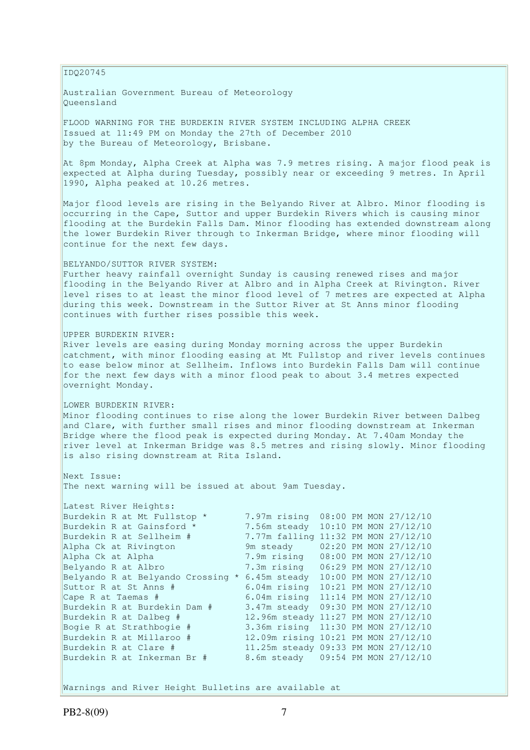#### IDQ20745

Australian Government Bureau of Meteorology Queensland

FLOOD WARNING FOR THE BURDEKIN RIVER SYSTEM INCLUDING ALPHA CREEK Issued at 11:49 PM on Monday the 27th of December 2010 by the Bureau of Meteorology, Brisbane.

At 8pm Monday, Alpha Creek at Alpha was 7.9 metres rising. A major flood peak is expected at Alpha during Tuesday, possibly near or exceeding 9 metres. In April 1990, Alpha peaked at 10.26 metres.

Major flood levels are rising in the Belyando River at Albro. Minor flooding is occurring in the Cape, Suttor and upper Burdekin Rivers which is causing minor flooding at the Burdekin Falls Dam. Minor flooding has extended downstream along the lower Burdekin River through to Inkerman Bridge, where minor flooding will continue for the next few days.

#### BELYANDO/SUTTOR RIVER SYSTEM:

Further heavy rainfall overnight Sunday is causing renewed rises and major flooding in the Belyando River at Albro and in Alpha Creek at Rivington. River level rises to at least the minor flood level of 7 metres are expected at Alpha during this week. Downstream in the Suttor River at St Anns minor flooding continues with further rises possible this week.

#### UPPER BURDEKIN RIVER:

River levels are easing during Monday morning across the upper Burdekin catchment, with minor flooding easing at Mt Fullstop and river levels continues to ease below minor at Sellheim. Inflows into Burdekin Falls Dam will continue for the next few days with a minor flood peak to about 3.4 metres expected overnight Monday.

### LOWER BURDEKIN RIVER:

Minor flooding continues to rise along the lower Burdekin River between Dalbeg and Clare, with further small rises and minor flooding downstream at Inkerman Bridge where the flood peak is expected during Monday. At 7.40am Monday the river level at Inkerman Bridge was 8.5 metres and rising slowly. Minor flooding is also rising downstream at Rita Island.

Next Issue: The next warning will be issued at about 9am Tuesday.

| Latest River Heights:             |                                     |  |                       |
|-----------------------------------|-------------------------------------|--|-----------------------|
| Burdekin R at Mt Fullstop *       | 7.97m rising                        |  | 08:00 PM MON 27/12/10 |
| Burdekin R at Gainsford *         | 7.56m steady 10:10 PM MON 27/12/10  |  |                       |
| Burdekin R at Sellheim #          | 7.77m falling 11:32 PM MON 27/12/10 |  |                       |
| Alpha Ck at Rivington             | 9m steady                           |  | 02:20 PM MON 27/12/10 |
| Alpha Ck at Alpha                 | 7.9m rising 08:00 PM MON 27/12/10   |  |                       |
| Belyando R at Albro               | 7.3m rising 06:29 PM MON 27/12/10   |  |                       |
| Belyando R at Belyando Crossing * | 6.45m steady                        |  | 10:00 PM MON 27/12/10 |
| Suttor R at St Anns #             | 6.04m rising                        |  | 10:21 PM MON 27/12/10 |
| Cape R at Taemas #                | 6.04m rising 11:14 PM MON 27/12/10  |  |                       |
| Burdekin R at Burdekin Dam #      | 3.47m steady 09:30 PM MON 27/12/10  |  |                       |
| Burdekin R at Dalbeg #            | 12.96m steady 11:27 PM MON 27/12/10 |  |                       |
| Bogie R at Strathbogie #          | 3.36m rising 11:30 PM MON 27/12/10  |  |                       |
| Burdekin R at Millaroo #          | 12.09m rising 10:21 PM MON 27/12/10 |  |                       |
| Burdekin R at Clare #             | 11.25m steady 09:33 PM MON 27/12/10 |  |                       |
| Burdekin R at Inkerman Br #       | 8.6m steady 09:54 PM MON 27/12/10   |  |                       |
|                                   |                                     |  |                       |

Warnings and River Height Bulletins are available at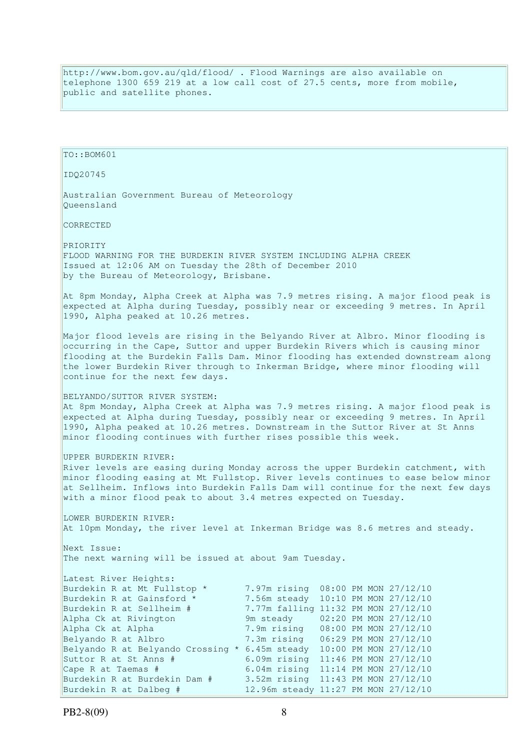http://www.bom.gov.au/qld/flood/ . Flood Warnings are also available on telephone 1300 659 219 at a low call cost of 27.5 cents, more from mobile, public and satellite phones.

| TO::BOM601                                                                                                                                                                                                                                                                                                                                                                 |                                                                                                         |                                                                                                                                                                                                                                                                                   |  |
|----------------------------------------------------------------------------------------------------------------------------------------------------------------------------------------------------------------------------------------------------------------------------------------------------------------------------------------------------------------------------|---------------------------------------------------------------------------------------------------------|-----------------------------------------------------------------------------------------------------------------------------------------------------------------------------------------------------------------------------------------------------------------------------------|--|
| IDQ20745                                                                                                                                                                                                                                                                                                                                                                   |                                                                                                         |                                                                                                                                                                                                                                                                                   |  |
| Australian Government Bureau of Meteorology<br>Oueensland                                                                                                                                                                                                                                                                                                                  |                                                                                                         |                                                                                                                                                                                                                                                                                   |  |
| CORRECTED                                                                                                                                                                                                                                                                                                                                                                  |                                                                                                         |                                                                                                                                                                                                                                                                                   |  |
| PRIORITY<br>FLOOD WARNING FOR THE BURDEKIN RIVER SYSTEM INCLUDING ALPHA CREEK<br>Issued at 12:06 AM on Tuesday the 28th of December 2010<br>by the Bureau of Meteorology, Brisbane.                                                                                                                                                                                        |                                                                                                         |                                                                                                                                                                                                                                                                                   |  |
| At 8pm Monday, Alpha Creek at Alpha was 7.9 metres rising. A major flood peak is<br>expected at Alpha during Tuesday, possibly near or exceeding 9 metres. In April<br>1990, Alpha peaked at 10.26 metres.                                                                                                                                                                 |                                                                                                         |                                                                                                                                                                                                                                                                                   |  |
| Major flood levels are rising in the Belyando River at Albro. Minor flooding is<br>occurring in the Cape, Suttor and upper Burdekin Rivers which is causing minor<br>flooding at the Burdekin Falls Dam. Minor flooding has extended downstream along<br>the lower Burdekin River through to Inkerman Bridge, where minor flooding will<br>continue for the next few days. |                                                                                                         |                                                                                                                                                                                                                                                                                   |  |
| BELYANDO/SUTTOR RIVER SYSTEM:<br>At 8pm Monday, Alpha Creek at Alpha was 7.9 metres rising. A major flood peak is<br>expected at Alpha during Tuesday, possibly near or exceeding 9 metres. In April<br>1990, Alpha peaked at 10.26 metres. Downstream in the Suttor River at St Anns<br>minor flooding continues with further rises possible this week.                   |                                                                                                         |                                                                                                                                                                                                                                                                                   |  |
| UPPER BURDEKIN RIVER:<br>River levels are easing during Monday across the upper Burdekin catchment, with<br>minor flooding easing at Mt Fullstop. River levels continues to ease below minor<br>at Sellheim. Inflows into Burdekin Falls Dam will continue for the next few days<br>with a minor flood peak to about 3.4 metres expected on Tuesday.                       |                                                                                                         |                                                                                                                                                                                                                                                                                   |  |
| LOWER BURDEKIN RIVER:<br>At 10pm Monday, the river level at Inkerman Bridge was 8.6 metres and steady.                                                                                                                                                                                                                                                                     |                                                                                                         |                                                                                                                                                                                                                                                                                   |  |
| Next Issue:<br>The next warning will be issued at about 9am Tuesday.                                                                                                                                                                                                                                                                                                       |                                                                                                         |                                                                                                                                                                                                                                                                                   |  |
| Latest River Heights:<br>Burdekin R at Mt Fullstop *<br>Burdekin R at Gainsford *<br>Burdekin R at Sellheim #<br>Alpha Ck at Rivington<br>Alpha Ck at Alpha<br>Belyando R at Albro<br>Belyando R at Belyando Crossing * 6.45m steady<br>Suttor R at St Anns #<br>Cape R at Taemas #<br>Burdekin R at Burdekin Dam #                                                        | 7.97m rising<br>7.56m steady<br>9m steady<br>7.9m rising<br>7.3m rising<br>6.09m rising<br>6.04m rising | 08:00 PM MON 27/12/10<br>10:10 PM MON 27/12/10<br>7.77m falling 11:32 PM MON 27/12/10<br>02:20 PM MON 27/12/10<br>08:00 PM MON 27/12/10<br>06:29 PM MON 27/12/10<br>10:00 PM MON 27/12/10<br>11:46 PM MON 27/12/10<br>11:14 PM MON 27/12/10<br>3.52m rising 11:43 PM MON 27/12/10 |  |
| Burdekin R at Dalbeg #                                                                                                                                                                                                                                                                                                                                                     |                                                                                                         | 12.96m steady 11:27 PM MON 27/12/10                                                                                                                                                                                                                                               |  |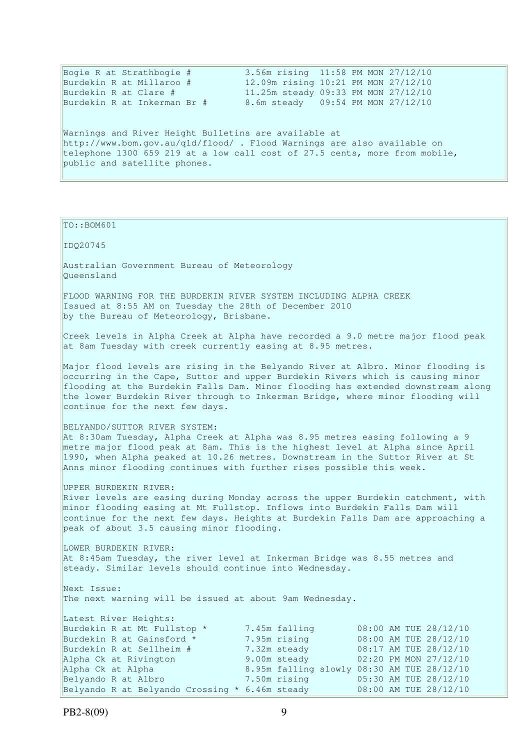|                                                      | Bogie R at Strathbogie #    |  | 3.56m rising 11:58 PM MON 27/12/10                                                        |  |  |  |
|------------------------------------------------------|-----------------------------|--|-------------------------------------------------------------------------------------------|--|--|--|
|                                                      | Burdekin R at Millaroo #    |  | 12.09m rising 10:21 PM MON 27/12/10                                                       |  |  |  |
|                                                      | Burdekin R at Clare #       |  | 11.25m steady 09:33 PM MON 27/12/10                                                       |  |  |  |
|                                                      | Burdekin R at Inkerman Br # |  | 8.6m steady 09:54 PM MON 27/12/10                                                         |  |  |  |
|                                                      |                             |  |                                                                                           |  |  |  |
| Warnings and River Height Bulletins are available at |                             |  |                                                                                           |  |  |  |
|                                                      |                             |  | $b++p.$ / $t_{\text{Hill}}$ hom gou au/gld/flood/ $E$ lood Marnings are also available on |  |  |  |

http://www.bom.gov.au/qld/flood/ . Flood Warnings are also available on telephone 1300 659 219 at a low call cost of 27.5 cents, more from mobile, public and satellite phones.

```
TO::BOM601 
IDQ20745 
Australian Government Bureau of Meteorology 
Queensland 
FLOOD WARNING FOR THE BURDEKIN RIVER SYSTEM INCLUDING ALPHA CREEK 
Issued at 8:55 AM on Tuesday the 28th of December 2010 
by the Bureau of Meteorology, Brisbane.
Creek levels in Alpha Creek at Alpha have recorded a 9.0 metre major flood peak 
at 8am Tuesday with creek currently easing at 8.95 metres. 
Major flood levels are rising in the Belyando River at Albro. Minor flooding is 
occurring in the Cape, Suttor and upper Burdekin Rivers which is causing minor 
flooding at the Burdekin Falls Dam. Minor flooding has extended downstream along 
the lower Burdekin River through to Inkerman Bridge, where minor flooding will 
continue for the next few days. 
BELYANDO/SUTTOR RIVER SYSTEM: 
At 8:30am Tuesday, Alpha Creek at Alpha was 8.95 metres easing following a 9 
metre major flood peak at 8am. This is the highest level at Alpha since April 
1990, when Alpha peaked at 10.26 metres. Downstream in the Suttor River at St 
Anns minor flooding continues with further rises possible this week. 
UPPER BURDEKIN RIVER: 
River levels are easing during Monday across the upper Burdekin catchment, with
minor flooding easing at Mt Fullstop. Inflows into Burdekin Falls Dam will 
continue for the next few days. Heights at Burdekin Falls Dam are approaching a 
peak of about 3.5 causing minor flooding. 
LOWER BURDEKIN RIVER:
At 8:45am Tuesday, the river level at Inkerman Bridge was 8.55 metres and 
steady. Similar levels should continue into Wednesday.
Next Issue: 
The next warning will be issued at about 9am Wednesday. 
Latest River Heights: 
Burdekin R at Mt Fullstop * 7.45m falling 08:00 AM TUE 28/12/10<br>Burdekin R at Gainsford * 7.95m rising 08:00 AM TUE 28/12/10
Burdekin R at Gainsford * 7.95m rising 08:00 AM TUE 28/12/10<br>Burdekin R at Sellheim # 7.32m steady 08:17 AM TUE 28/12/10
Burdekin R at Sellheim # 7.32m steady<br>Alpha Ck at Rivington 9.00m steady
Alpha Ck at Rivington 9.00m steady 02:20 PM MON 27/12/10 
Alpha Ck at Alpha 8.95m falling slowly 08:30 AM TUE 28/12/10 
Belyando R at Albro 7.50m rising 05:30 AM TUE 28/12/10 
Belyando R at Belyando Crossing * 6.46m steady 08:00 AM TUE 28/12/10
```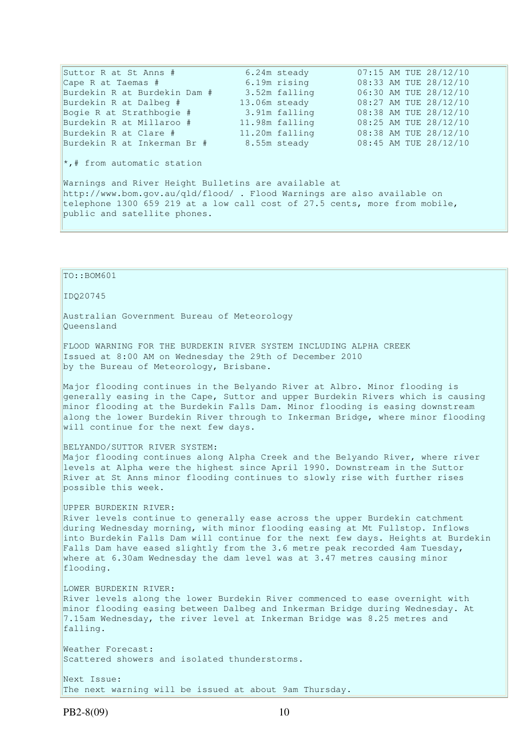| Suttor R at St Anns #             | 6.24m steady   |  | 07:15 AM TUE 28/12/10 |
|-----------------------------------|----------------|--|-----------------------|
| Cape R at Taemas #                | 6.19m rising   |  | 08:33 AM TUE 28/12/10 |
| Burdekin R at Burdekin Dam #      | 3.52m falling  |  | 06:30 AM TUE 28/12/10 |
| Burdekin R at Dalbeg #            | 13.06m steady  |  | 08:27 AM TUE 28/12/10 |
| Bogie R at Strathbogie #          | 3.91m falling  |  | 08:38 AM TUE 28/12/10 |
| Burdekin R at Millaroo #          | 11.98m falling |  | 08:25 AM TUE 28/12/10 |
| Burdekin R at Clare #             | 11.20m falling |  | 08:38 AM TUE 28/12/10 |
| Burdekin R at Inkerman Br #       | 8.55m steady   |  | 08:45 AM TUE 28/12/10 |
| $\star$ ,# from automatic station |                |  |                       |

Warnings and River Height Bulletins are available at http://www.bom.gov.au/qld/flood/ . Flood Warnings are also available on telephone 1300 659 219 at a low call cost of 27.5 cents, more from mobile, public and satellite phones.

TO::BOM601 IDQ20745 Australian Government Bureau of Meteorology Queensland FLOOD WARNING FOR THE BURDEKIN RIVER SYSTEM INCLUDING ALPHA CREEK Issued at 8:00 AM on Wednesday the 29th of December 2010 by the Bureau of Meteorology, Brisbane. Major flooding continues in the Belyando River at Albro. Minor flooding is generally easing in the Cape, Suttor and upper Burdekin Rivers which is causing minor flooding at the Burdekin Falls Dam. Minor flooding is easing downstream along the lower Burdekin River through to Inkerman Bridge, where minor flooding will continue for the next few days. BELYANDO/SUTTOR RIVER SYSTEM: Major flooding continues along Alpha Creek and the Belyando River, where river levels at Alpha were the highest since April 1990. Downstream in the Suttor River at St Anns minor flooding continues to slowly rise with further rises possible this week. UPPER BURDEKIN RIVER: River levels continue to generally ease across the upper Burdekin catchment during Wednesday morning, with minor flooding easing at Mt Fullstop. Inflows into Burdekin Falls Dam will continue for the next few days. Heights at Burdekin Falls Dam have eased slightly from the 3.6 metre peak recorded 4am Tuesday, where at 6.30am Wednesday the dam level was at 3.47 metres causing minor flooding. LOWER BURDEKIN RIVER: River levels along the lower Burdekin River commenced to ease overnight with minor flooding easing between Dalbeg and Inkerman Bridge during Wednesday. At 7.15am Wednesday, the river level at Inkerman Bridge was 8.25 metres and falling. Weather Forecast: Scattered showers and isolated thunderstorms. Next Issue: The next warning will be issued at about 9am Thursday.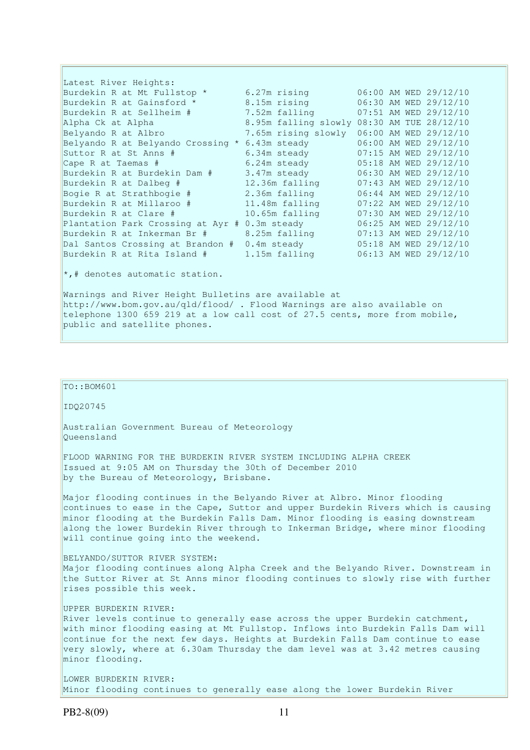Latest River Heights: Burdekin R at Mt Fullstop \* 6.27m rising 06:00 AM WED 29/12/10<br>Burdekin R at Gainsford \* 8.15m rising 06:30 AM WED 29/12/10 Burdekin R at Gainsford \* 8.15m rising 06:30 AM WED 29/12/10<br>Burdekin R at Sellheim # 7.52m falling 07:51 AM WED 29/12/10 الم 1.52m بيم 1.52m وسيط 1.52m بيمبر 1.52m<br>7.52m falling 07:51 AM WED 29/12/10 Alpha Ck at Alpha 8.95m falling slowly 08:30 AM TUE 28/12/10<br>Belyando R at Albro 3.65m rising slowly 06:00 AM WED 29/12/10 Belyando R at Albro 7.65m rising slowly 06:00 AM WED 29/12/10 Belyando R at Belyando Crossing \* 6.43m steady 06:00 AM WED 29/12/10 Suttor R at St Anns # 6.34m steady 07:15 AM WED 29/12/10 Cape R at Taemas # 6.24m steady 05:18 AM WED 29/12/10 Burdekin R at Burdekin Dam # 3.47m steady 06:30 AM WED 29/12/10 Burdekin R at Dalbeg # 12.36m falling 07:43 AM WED 29/12/10 Bogie R at Strathbogie # 2.36m falling 06:44 AM WED 29/12/10 Burdekin R at Millaroo # 11.48m falling 07:22 AM WED 29/12/10 Burdekin R at Clare # 10.65m falling 07:30 AM WED 29/12/10 Plantation Park Crossing at Ayr # 0.3m steady 06:25 AM WED 29/12/10 Burdekin R at Inkerman Br # 8.25m falling 07:13 AM WED 29/12/10 Dal Santos Crossing at Brandon # 0.4m steady 05:18 AM WED 29/12/10 Burdekin R at Rita Island # 1.15m falling 06:13 AM WED 29/12/10

\*,# denotes automatic station.

Warnings and River Height Bulletins are available at http://www.bom.gov.au/qld/flood/ . Flood Warnings are also available on telephone 1300 659 219 at a low call cost of 27.5 cents, more from mobile, public and satellite phones.

### TO::BOM601

IDQ20745

Australian Government Bureau of Meteorology Queensland

FLOOD WARNING FOR THE BURDEKIN RIVER SYSTEM INCLUDING ALPHA CREEK Issued at 9:05 AM on Thursday the 30th of December 2010 by the Bureau of Meteorology, Brisbane.

Major flooding continues in the Belyando River at Albro. Minor flooding continues to ease in the Cape, Suttor and upper Burdekin Rivers which is causing minor flooding at the Burdekin Falls Dam. Minor flooding is easing downstream along the lower Burdekin River through to Inkerman Bridge, where minor flooding will continue going into the weekend.

BELYANDO/SUTTOR RIVER SYSTEM: Major flooding continues along Alpha Creek and the Belyando River. Downstream in the Suttor River at St Anns minor flooding continues to slowly rise with further rises possible this week.

#### UPPER BURDEKIN RIVER:

River levels continue to generally ease across the upper Burdekin catchment, with minor flooding easing at Mt Fullstop. Inflows into Burdekin Falls Dam will continue for the next few days. Heights at Burdekin Falls Dam continue to ease very slowly, where at 6.30am Thursday the dam level was at 3.42 metres causing minor flooding.

LOWER BURDEKIN RIVER: Minor flooding continues to generally ease along the lower Burdekin River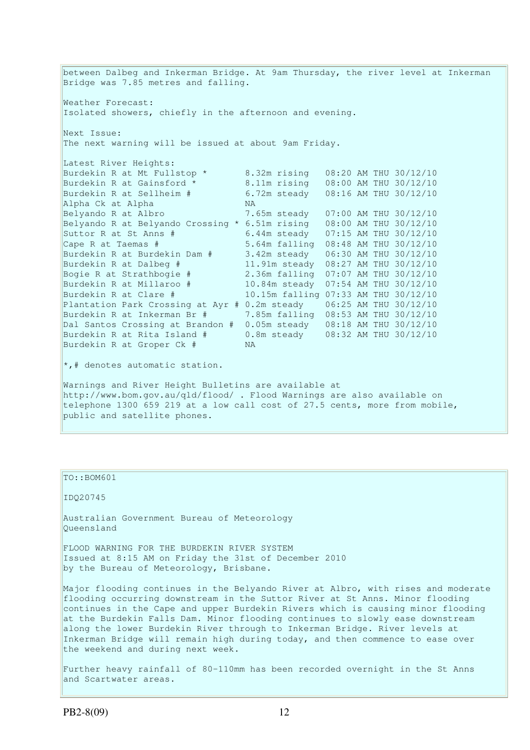between Dalbeg and Inkerman Bridge. At 9am Thursday, the river level at Inkerman Bridge was 7.85 metres and falling. Weather Forecast: Isolated showers, chiefly in the afternoon and evening. Next Issue: The next warning will be issued at about 9am Friday. Latest River Heights:<br>Burdekin R at Mt Fullstop \* 8.32m rising 08:20 AM THU 30/12/10 Burdekin R at Gainsford \* 8.11m rising 08:00 AM THU 30/12/10 Burdekin R at Sellheim # 6.72m steady 08:16 AM THU 30/12/10 Alpha Ck at Alpha 1988 NA Belyando R at Albro 7.65m steady 07:00 AM THU 30/12/10 Belyando R at Belyando Crossing \* 6.51m rising 08:00 AM THU 30/12/10 Suttor R at St Anns # 6.44m steady 07:15 AM THU 30/12/10 Suttor R at St Anns # 5.64m steady 07:15 AM THU 30/12/10<br>
Cape R at Taemas # 5.64m falling 08:48 AM THU 30/12/10<br>
Burdekin R at Burdekin Dam # 3.42m steady 06:30 AM THU 30/12/10 Burdekin R at Burdekin Dam  $#$  3.42m steady Burdekin R at Dalbeg # 11.91m steady 08:27 AM THU 30/12/10<br>
Bogie R at Strathbogie # 2.36m falling 07:07 AM THU 30/12/10<br>
Burdekin R at Millaroo # 10.84m steady 07:54 AM THU 30/12/10<br>
10.15m falling 07:33 AM THU 30/12/10 Bogie R at Strathbogie # 2.36m falling 07:07 AM THU 30/12/10 Burdekin R at Millaroo # 10.84m steady 07:54 AM THU 30/12/10 10.15m falling 07:33 AM THU 30/12/10 Plantation Park Crossing at Ayr # 0.2m steady 06:25 AM THU 30/12/10 Burdekin R at Inkerman Br # 7.85m falling 08:53 AM THU 30/12/10 Dal Santos Crossing at Brandon # 0.05m steady 08:18 AM THU 30/12/10 Burdekin R at Rita Island # 0.8m steady 08:32 AM THU 30/12/10 Burdekin R at Groper Ck # NA  $\star$ , # denotes automatic station. Warnings and River Height Bulletins are available at http://www.bom.gov.au/qld/flood/ . Flood Warnings are also available on telephone 1300 659 219 at a low call cost of 27.5 cents, more from mobile, public and satellite phones.

TO::BOM601

IDQ20745

Australian Government Bureau of Meteorology Queensland

FLOOD WARNING FOR THE BURDEKIN RIVER SYSTEM Issued at 8:15 AM on Friday the 31st of December 2010 by the Bureau of Meteorology, Brisbane.

Major flooding continues in the Belyando River at Albro, with rises and moderate flooding occurring downstream in the Suttor River at St Anns. Minor flooding continues in the Cape and upper Burdekin Rivers which is causing minor flooding at the Burdekin Falls Dam. Minor flooding continues to slowly ease downstream along the lower Burdekin River through to Inkerman Bridge. River levels at Inkerman Bridge will remain high during today, and then commence to ease over the weekend and during next week.

Further heavy rainfall of 80-110mm has been recorded overnight in the St Anns and Scartwater areas.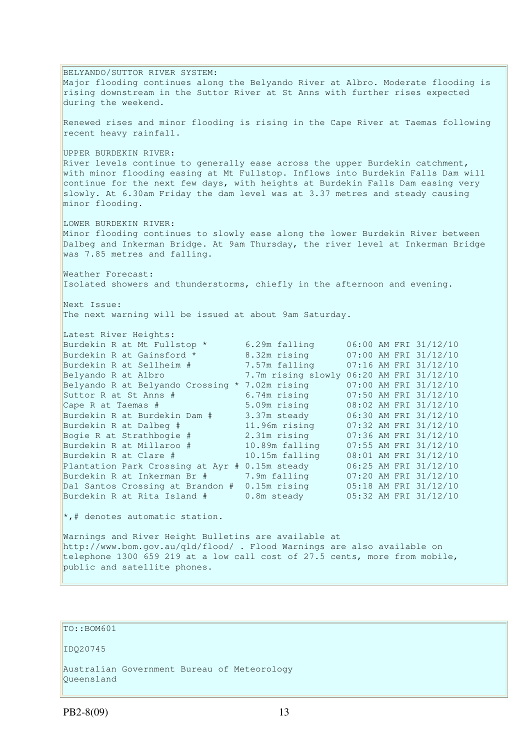BELYANDO/SUTTOR RIVER SYSTEM: Major flooding continues along the Belyando River at Albro. Moderate flooding is rising downstream in the Suttor River at St Anns with further rises expected during the weekend. Renewed rises and minor flooding is rising in the Cape River at Taemas following recent heavy rainfall. UPPER BURDEKIN RIVER: River levels continue to generally ease across the upper Burdekin catchment, with minor flooding easing at Mt Fullstop. Inflows into Burdekin Falls Dam will continue for the next few days, with heights at Burdekin Falls Dam easing very slowly. At 6.30am Friday the dam level was at 3.37 metres and steady causing minor flooding. LOWER BURDEKIN RIVER: Minor flooding continues to slowly ease along the lower Burdekin River between Dalbeg and Inkerman Bridge. At 9am Thursday, the river level at Inkerman Bridge was 7.85 metres and falling. Weather Forecast: Isolated showers and thunderstorms, chiefly in the afternoon and evening. Next Issue: The next warning will be issued at about 9am Saturday. Latest River Heights: Burdekin R at Mt Fullstop \* 6.29m falling 06:00 AM FRI 31/12/10 Burdekin R at Gainsford \* 8.32m rising 07:00 AM FRI 31/12/10 Burdekin R at Sellheim # 7.57m falling 07:16 AM FRI 31/12/10 Belyando R at Albro 7.7m rising slowly 06:20 AM FRI 31/12/10 Belyando R at Belyando Crossing \* 7.02m rising 07:00 AM FRI 31/12/10 Suttor R at St Anns # 6.74m rising 07:50 AM FRI 31/12/10 Cape R at Taemas # 5.09m rising 08:02 AM FRI 31/12/10 Burdekin R at Burdekin Dam # 3.37m steady 06:30 AM FRI 31/12/10 Burdekin R at Dalbeg # 11.96m rising 07:32 AM FRI 31/12/10 Bogie R at Strathbogie # 2.31m rising 07:36 AM FRI 31/12/10 Burdekin R at Millaroo # 10.89m falling 07:55 AM FRI 31/12/10 Burdekin R at Clare # 10.15m falling 08:01 AM FRI 31/12/10 Plantation Park Crossing at Ayr # 0.15m steady 06:25 AM FRI 31/12/10 Burdekin R at Inkerman Br # 7.9m falling 07:20 AM FRI 31/12/10 Dal Santos Crossing at Brandon # 0.15m rising 05:18 AM FRI 31/12/10 Burdekin R at Rita Island # 0.8m steady 05:32 AM FRI 31/12/10  $\star$ ,# denotes automatic station. Warnings and River Height Bulletins are available at http://www.bom.gov.au/qld/flood/ . Flood Warnings are also available on telephone 1300 659 219 at a low call cost of 27.5 cents, more from mobile, public and satellite phones.

TO::BOM601

IDQ20745

Australian Government Bureau of Meteorology Queensland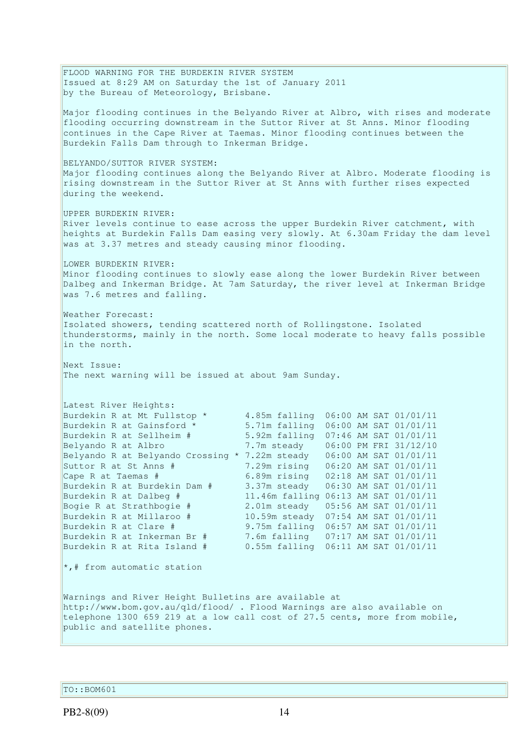FLOOD WARNING FOR THE BURDEKIN RIVER SYSTEM Issued at 8:29 AM on Saturday the 1st of January 2011 by the Bureau of Meteorology, Brisbane. Major flooding continues in the Belyando River at Albro, with rises and moderate flooding occurring downstream in the Suttor River at St Anns. Minor flooding continues in the Cape River at Taemas. Minor flooding continues between the Burdekin Falls Dam through to Inkerman Bridge. BELYANDO/SUTTOR RIVER SYSTEM: Major flooding continues along the Belyando River at Albro. Moderate flooding is rising downstream in the Suttor River at St Anns with further rises expected during the weekend. UPPER BURDEKIN RIVER: River levels continue to ease across the upper Burdekin River catchment, with heights at Burdekin Falls Dam easing very slowly. At 6.30am Friday the dam level was at 3.37 metres and steady causing minor flooding. LOWER BURDEKIN RIVER: Minor flooding continues to slowly ease along the lower Burdekin River between Dalbeg and Inkerman Bridge. At 7am Saturday, the river level at Inkerman Bridge was 7.6 metres and falling. Weather Forecast: Isolated showers, tending scattered north of Rollingstone. Isolated thunderstorms, mainly in the north. Some local moderate to heavy falls possible in the north. Next Issue: The next warning will be issued at about 9am Sunday. Latest River Heights: Burdekin R at Mt Fullstop \* 4.85m falling  $06:00$  AM SAT  $01/01/11$ <br>Burdekin R at Gainsford \* 5.71m falling  $06:00$  AM SAT  $01/01/11$ Burdekin R at Gainsford \*  $5.71$ m falling  $06:00$  AM SAT  $01/01/11$ <br>Burdekin R at Sellheim #  $5.92$ m falling  $07:46$  AM SAT  $01/01/11$ 5.92m falling 07:46 AM SAT 01/01/11 Belyando R at Albro 7.7m steady 06:00 PM FRI 31/12/10 Belyando R at Belyando Crossing \* 7.22m steady 06:00 AM SAT 01/01/11 Suttor R at St Anns # 7.29m rising 06:20 AM SAT 01/01/11 Cape R at Taemas # 6.89m rising 02:18 AM SAT 01/01/11 Burdekin R at Burdekin Dam # 3.37m steady 06:30 AM SAT 01/01/11 Burdekin R at Dalbeg # 11.46m falling 06:13 AM SAT 01/01/11 Bogie R at Strathbogie # 2.01m steady 05:56 AM SAT 01/01/11 Burdekin R at Millaroo # 10.59m steady 07:54 AM SAT 01/01/11 Burdekin R at Clare # 9.75m falling 06:57 AM SAT 01/01/11 Burdekin R at Inkerman Br # 7.6m falling 07:17 AM SAT 01/01/11 Burdekin R at Rita Island # 0.55m falling 06:11 AM SAT 01/01/11 \*,# from automatic station Warnings and River Height Bulletins are available at http://www.bom.gov.au/qld/flood/ . Flood Warnings are also available on telephone 1300 659 219 at a low call cost of 27.5 cents, more from mobile, public and satellite phones.

TO::BOM601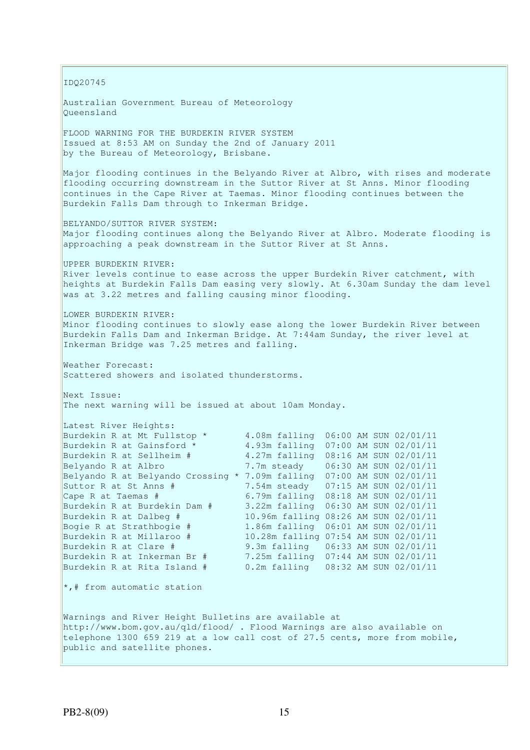IDQ20745 Australian Government Bureau of Meteorology Queensland FLOOD WARNING FOR THE BURDEKIN RIVER SYSTEM Issued at 8:53 AM on Sunday the 2nd of January 2011 by the Bureau of Meteorology, Brisbane. Major flooding continues in the Belyando River at Albro, with rises and moderate flooding occurring downstream in the Suttor River at St Anns. Minor flooding continues in the Cape River at Taemas. Minor flooding continues between the Burdekin Falls Dam through to Inkerman Bridge. BELYANDO/SUTTOR RIVER SYSTEM: Major flooding continues along the Belyando River at Albro. Moderate flooding is approaching a peak downstream in the Suttor River at St Anns. UPPER BURDEKIN RIVER: River levels continue to ease across the upper Burdekin River catchment, with heights at Burdekin Falls Dam easing very slowly. At 6.30am Sunday the dam level was at 3.22 metres and falling causing minor flooding. LOWER BURDEKIN RIVER: Minor flooding continues to slowly ease along the lower Burdekin River between Burdekin Falls Dam and Inkerman Bridge. At 7:44am Sunday, the river level at Inkerman Bridge was 7.25 metres and falling. Weather Forecast: Scattered showers and isolated thunderstorms. Next Issue: The next warning will be issued at about 10am Monday. Latest River Heights:<br>Burdekin R at Mt Fullstop \* Burdekin R at Mt Fullstop \*  $4.08$ m falling  $06:00$  AM SUN 02/01/11<br>Burdekin R at Gainsford \*  $4.93$ m falling 07:00 AM SUN 02/01/11 Burdekin R at Gainsford \*  $4.93$ m falling  $07:00$  AM SUN 02/01/11<br>Burdekin R at Sellheim #  $4.27$ m falling 08:16 AM SUN 02/01/11 4.27m falling 08:16 AM SUN 02/01/11 Belyando R at Albro 7.7m steady 06:30 AM SUN 02/01/11 Belyando R at Belyando Crossing \* 7.09m falling  $07:00$  AM SUN  $02/01/11$ <br>Suttor R at St Anns #  $7.54$ m steady  $07:15$  AM SUN  $02/01/11$ Suttor R at St Anns # 7.54m steady 07:15 AM SUN 02/01/11 Cape R at Taemas # 6.79m falling 08:18 AM SUN 02/01/11 Burdekin R at Burdekin Dam # 3.22m falling 06:30 AM SUN 02/01/11 Burdekin R at Dalbeg # 10.96m falling 08:26 AM SUN 02/01/11 Bogie R at Strathbogie # 1.86m falling 06:01 AM SUN 02/01/11 Burdekin R at Millaroo # 10.28m falling 07:54 AM SUN 02/01/11 Burdekin R at Clare # 9.3m falling 06:33 AM SUN 02/01/11 Burdekin R at Inkerman Br # 7.25m falling 07:44 AM SUN 02/01/11 Burdekin R at Rita Island # 0.2m falling 08:32 AM SUN 02/01/11  $\star$ ,# from automatic station Warnings and River Height Bulletins are available at http://www.bom.gov.au/qld/flood/ . Flood Warnings are also available on telephone 1300 659 219 at a low call cost of 27.5 cents, more from mobile, public and satellite phones.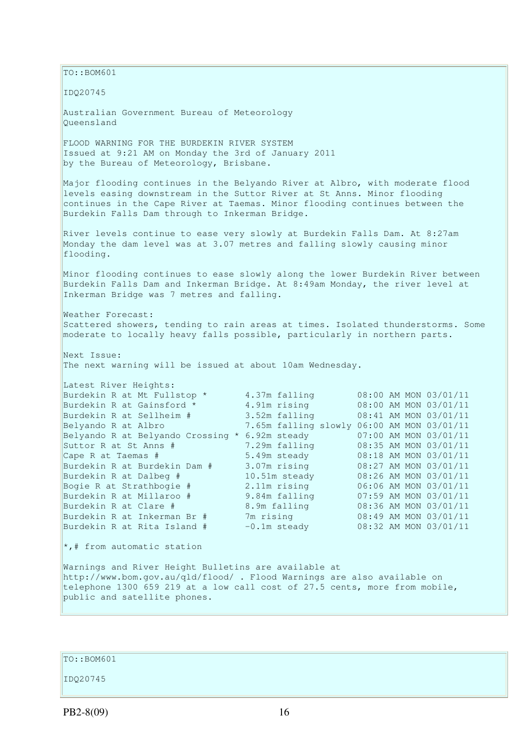$\vert$ TO::BOM601 IDQ20745 Australian Government Bureau of Meteorology Queensland FLOOD WARNING FOR THE BURDEKIN RIVER SYSTEM Issued at 9:21 AM on Monday the 3rd of January 2011 by the Bureau of Meteorology, Brisbane. Major flooding continues in the Belyando River at Albro, with moderate flood levels easing downstream in the Suttor River at St Anns. Minor flooding continues in the Cape River at Taemas. Minor flooding continues between the Burdekin Falls Dam through to Inkerman Bridge. River levels continue to ease very slowly at Burdekin Falls Dam. At 8:27am Monday the dam level was at 3.07 metres and falling slowly causing minor flooding. Minor flooding continues to ease slowly along the lower Burdekin River between Burdekin Falls Dam and Inkerman Bridge. At 8:49am Monday, the river level at Inkerman Bridge was 7 metres and falling. Weather Forecast: Scattered showers, tending to rain areas at times. Isolated thunderstorms. Some moderate to locally heavy falls possible, particularly in northern parts. Next Issue: The next warning will be issued at about 10am Wednesday. Latest River Heights: Burdekin R at Mt Fullstop \* 4.37m falling 08:00 AM MON 03/01/11 Burdekin R at Gainsford \* 4.91m rising 08:00 AM MON 03/01/11 Burdekin R at Sellheim # 3.52m falling 08:41 AM MON 03/01/11 Belyando R at Albro 7.65m falling slowly 06:00 AM MON 03/01/11 Belyando R at Belyando Crossing \* 6.92m steady 07:00 AM MON 03/01/11 Suttor R at St Anns # 7.29m falling 08:35 AM MON 03/01/11 Cape R at Taemas # 5.49m steady 08:18 AM MON 03/01/11 Burdekin R at Burdekin Dam # 3.07m rising 08:27 AM MON 03/01/11 Burdekin R at Dalbeg # 10.51m steady 08:26 AM MON 03/01/11 Bogie R at Strathbogie # 2.11m rising 06:06 AM MON 03/01/11 Burdekin R at Millaroo # 9.84m falling 07:59 AM MON 03/01/11 Burdekin R at Clare # 8.9m falling 08:36 AM MON 03/01/11 Burdekin R at Inkerman Br # 7m rising 08:49 AM MON 03/01/11 Burdekin R at Rita Island  $#$   $-0.1$ m steady  $0.8:32$  AM MON  $0.3/01/11$ \*,# from automatic station Warnings and River Height Bulletins are available at http://www.bom.gov.au/qld/flood/ . Flood Warnings are also available on telephone 1300 659 219 at a low call cost of 27.5 cents, more from mobile, public and satellite phones.

TO::BOM601

IDQ20745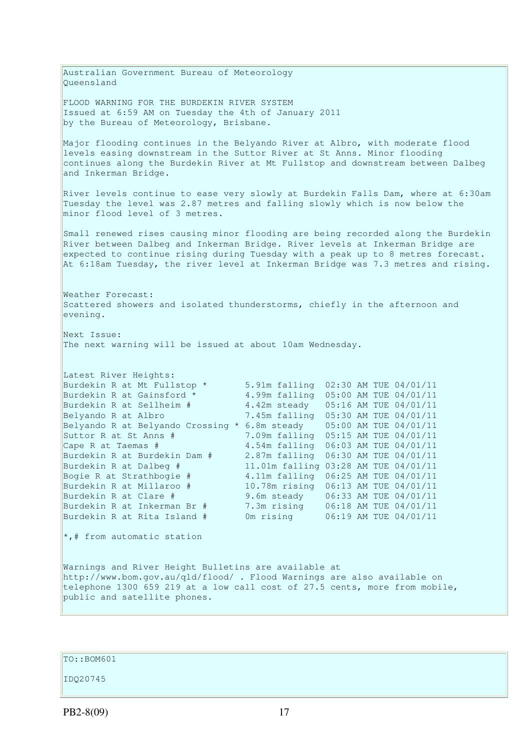Australian Government Bureau of Meteorology Queensland FLOOD WARNING FOR THE BURDEKIN RIVER SYSTEM Issued at 6:59 AM on Tuesday the 4th of January 2011 by the Bureau of Meteorology, Brisbane. Major flooding continues in the Belyando River at Albro, with moderate flood levels easing downstream in the Suttor River at St Anns. Minor flooding continues along the Burdekin River at Mt Fullstop and downstream between Dalbeg and Inkerman Bridge. River levels continue to ease very slowly at Burdekin Falls Dam, where at 6:30am Tuesday the level was 2.87 metres and falling slowly which is now below the minor flood level of 3 metres. Small renewed rises causing minor flooding are being recorded along the Burdekin River between Dalbeg and Inkerman Bridge. River levels at Inkerman Bridge are expected to continue rising during Tuesday with a peak up to 8 metres forecast. At 6:18am Tuesday, the river level at Inkerman Bridge was 7.3 metres and rising. Weather Forecast: Scattered showers and isolated thunderstorms, chiefly in the afternoon and evening. Next Issue: The next warning will be issued at about 10am Wednesday. Latest River Heights: Burdekin R at Mt Fullstop \* 5.91m falling  $02:30$  AM TUE  $04/01/11$ <br>Burdekin R at Gainsford \* 4.99m falling 05:00 AM TUE 04/01/11 4.99m falling 05:00 AM TUE 04/01/11 Burdekin R at Sellheim # 4.42m steady 05:16 AM TUE 04/01/11 Belyando R at Albro 7.45m falling 05:30 AM TUE 04/01/11 Belyando R at Albro 7.45m falling 05:30 AM TUE 04/01/11<br>Belyando R at Belyando Crossing \* 6.8m steady 05:00 AM TUE 04/01/11 Suttor R at St Anns # 7.09m falling 05:15 AM TUE 04/01/11 Cape R at Taemas # 4.54m falling 06:03 AM TUE 04/01/11 Burdekin R at Burdekin Dam # 2.87m falling 06:30 AM TUE 04/01/11 Burdekin R at Dalbeg # 11.01m falling 03:28 AM TUE 04/01/11 Bogie R at Strathbogie # 4.11m falling 06:25 AM TUE 04/01/11 Burdekin R at Millaroo # 10.78m rising 06:13 AM TUE 04/01/11 Burdekin R at Clare # 9.6m steady 06:33 AM TUE 04/01/11 Burdekin R at Inkerman Br # 7.3m rising 06:18 AM TUE 04/01/11 Burdekin R at Rita Island # 0m rising 06:19 AM TUE 04/01/11  $\star$ ,# from automatic station Warnings and River Height Bulletins are available at http://www.bom.gov.au/qld/flood/ . Flood Warnings are also available on telephone 1300 659 219 at a low call cost of 27.5 cents, more from mobile, public and satellite phones.

TO::BOM601

IDQ20745